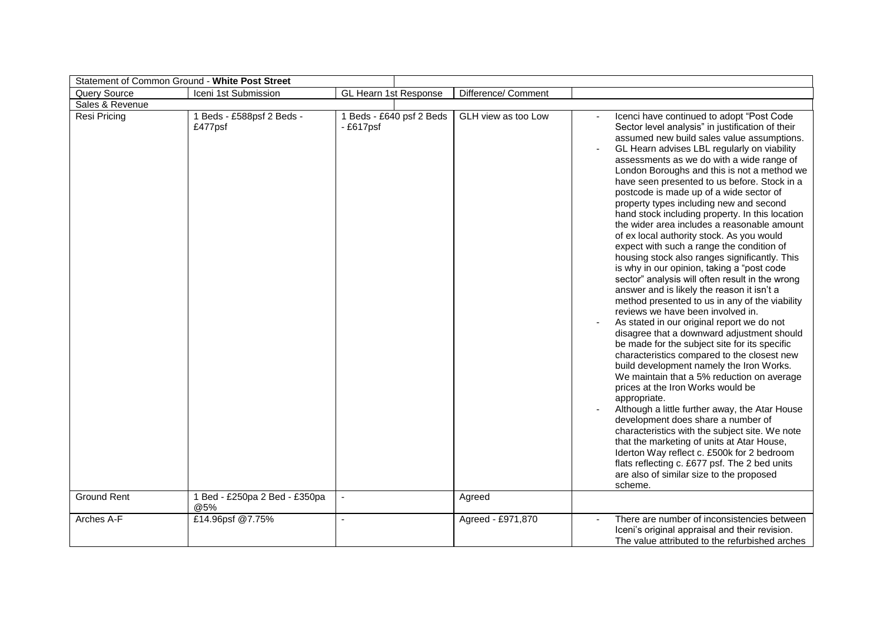| Statement of Common Ground - White Post Street |                                      |                                        |                     |                                                                                                                                                                                                                                                                                                                                                                                                                                                                                                                                                                                                                                                                                                                                                                                                                                                                                                                                                                                                                                                                                                                                                                                                                                                                                                                                                                                                                                                                                                                                                                                                          |
|------------------------------------------------|--------------------------------------|----------------------------------------|---------------------|----------------------------------------------------------------------------------------------------------------------------------------------------------------------------------------------------------------------------------------------------------------------------------------------------------------------------------------------------------------------------------------------------------------------------------------------------------------------------------------------------------------------------------------------------------------------------------------------------------------------------------------------------------------------------------------------------------------------------------------------------------------------------------------------------------------------------------------------------------------------------------------------------------------------------------------------------------------------------------------------------------------------------------------------------------------------------------------------------------------------------------------------------------------------------------------------------------------------------------------------------------------------------------------------------------------------------------------------------------------------------------------------------------------------------------------------------------------------------------------------------------------------------------------------------------------------------------------------------------|
| Query Source                                   | Iceni 1st Submission                 | GL Hearn 1st Response                  | Difference/ Comment |                                                                                                                                                                                                                                                                                                                                                                                                                                                                                                                                                                                                                                                                                                                                                                                                                                                                                                                                                                                                                                                                                                                                                                                                                                                                                                                                                                                                                                                                                                                                                                                                          |
| Sales & Revenue                                |                                      |                                        |                     |                                                                                                                                                                                                                                                                                                                                                                                                                                                                                                                                                                                                                                                                                                                                                                                                                                                                                                                                                                                                                                                                                                                                                                                                                                                                                                                                                                                                                                                                                                                                                                                                          |
| <b>Resi Pricing</b>                            | Beds - £588psf 2 Beds -<br>£477psf   | 1 Beds - £640 psf 2 Beds<br>$-£617psf$ | GLH view as too Low | Icenci have continued to adopt "Post Code<br>Sector level analysis" in justification of their<br>assumed new build sales value assumptions.<br>GL Hearn advises LBL regularly on viability<br>assessments as we do with a wide range of<br>London Boroughs and this is not a method we<br>have seen presented to us before. Stock in a<br>postcode is made up of a wide sector of<br>property types including new and second<br>hand stock including property. In this location<br>the wider area includes a reasonable amount<br>of ex local authority stock. As you would<br>expect with such a range the condition of<br>housing stock also ranges significantly. This<br>is why in our opinion, taking a "post code<br>sector" analysis will often result in the wrong<br>answer and is likely the reason it isn't a<br>method presented to us in any of the viability<br>reviews we have been involved in.<br>As stated in our original report we do not<br>disagree that a downward adjustment should<br>be made for the subject site for its specific<br>characteristics compared to the closest new<br>build development namely the Iron Works.<br>We maintain that a 5% reduction on average<br>prices at the Iron Works would be<br>appropriate.<br>Although a little further away, the Atar House<br>development does share a number of<br>characteristics with the subject site. We note<br>that the marketing of units at Atar House,<br>Iderton Way reflect c. £500k for 2 bedroom<br>flats reflecting c. £677 psf. The 2 bed units<br>are also of similar size to the proposed<br>scheme. |
| <b>Ground Rent</b>                             | 1 Bed - £250pa 2 Bed - £350pa<br>@5% |                                        | Agreed              |                                                                                                                                                                                                                                                                                                                                                                                                                                                                                                                                                                                                                                                                                                                                                                                                                                                                                                                                                                                                                                                                                                                                                                                                                                                                                                                                                                                                                                                                                                                                                                                                          |
| Arches A-F                                     | £14.96psf @7.75%                     | $\sim$                                 | Agreed - £971,870   | There are number of inconsistencies between<br>Iceni's original appraisal and their revision.<br>The value attributed to the refurbished arches                                                                                                                                                                                                                                                                                                                                                                                                                                                                                                                                                                                                                                                                                                                                                                                                                                                                                                                                                                                                                                                                                                                                                                                                                                                                                                                                                                                                                                                          |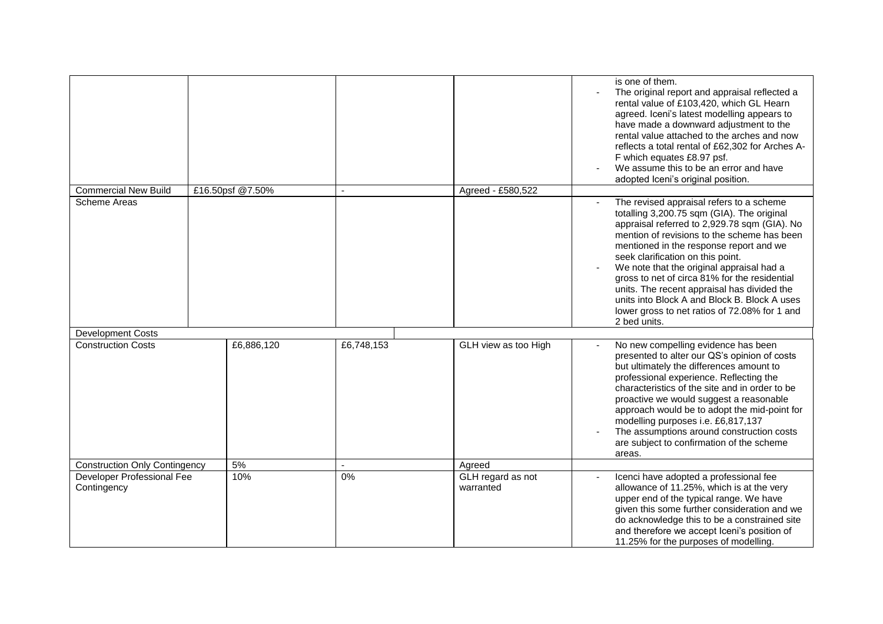|                                           |                             |    |                  |                |                                | is one of them.<br>The original report and appraisal reflected a<br>rental value of £103,420, which GL Hearn<br>agreed. Iceni's latest modelling appears to<br>have made a downward adjustment to the<br>rental value attached to the arches and now<br>reflects a total rental of £62,302 for Arches A-<br>F which equates £8.97 psf.<br>We assume this to be an error and have<br>adopted Iceni's original position.                                                                                                              |
|-------------------------------------------|-----------------------------|----|------------------|----------------|--------------------------------|-------------------------------------------------------------------------------------------------------------------------------------------------------------------------------------------------------------------------------------------------------------------------------------------------------------------------------------------------------------------------------------------------------------------------------------------------------------------------------------------------------------------------------------|
|                                           | <b>Commercial New Build</b> |    | £16.50psf @7.50% | $\blacksquare$ | Agreed - £580,522              |                                                                                                                                                                                                                                                                                                                                                                                                                                                                                                                                     |
| <b>Scheme Areas</b>                       |                             |    |                  |                |                                | The revised appraisal refers to a scheme<br>totalling 3,200.75 sqm (GIA). The original<br>appraisal referred to 2,929.78 sqm (GIA). No<br>mention of revisions to the scheme has been<br>mentioned in the response report and we<br>seek clarification on this point.<br>We note that the original appraisal had a<br>gross to net of circa 81% for the residential<br>units. The recent appraisal has divided the<br>units into Block A and Block B. Block A uses<br>lower gross to net ratios of 72.08% for 1 and<br>2 bed units. |
|                                           | <b>Development Costs</b>    |    |                  |                |                                |                                                                                                                                                                                                                                                                                                                                                                                                                                                                                                                                     |
|                                           | <b>Construction Costs</b>   |    | £6,886,120       | £6,748,153     | GLH view as too High           | No new compelling evidence has been<br>presented to alter our QS's opinion of costs<br>but ultimately the differences amount to<br>professional experience. Reflecting the<br>characteristics of the site and in order to be<br>proactive we would suggest a reasonable<br>approach would be to adopt the mid-point for<br>modelling purposes i.e. £6,817,137<br>The assumptions around construction costs<br>are subject to confirmation of the scheme<br>areas.                                                                   |
| <b>Construction Only Contingency</b>      |                             | 5% |                  | Agreed         |                                |                                                                                                                                                                                                                                                                                                                                                                                                                                                                                                                                     |
| Developer Professional Fee<br>Contingency |                             |    | 10%              | 0%             | GLH regard as not<br>warranted | Icenci have adopted a professional fee<br>allowance of 11.25%, which is at the very<br>upper end of the typical range. We have<br>given this some further consideration and we<br>do acknowledge this to be a constrained site<br>and therefore we accept Iceni's position of<br>11.25% for the purposes of modelling.                                                                                                                                                                                                              |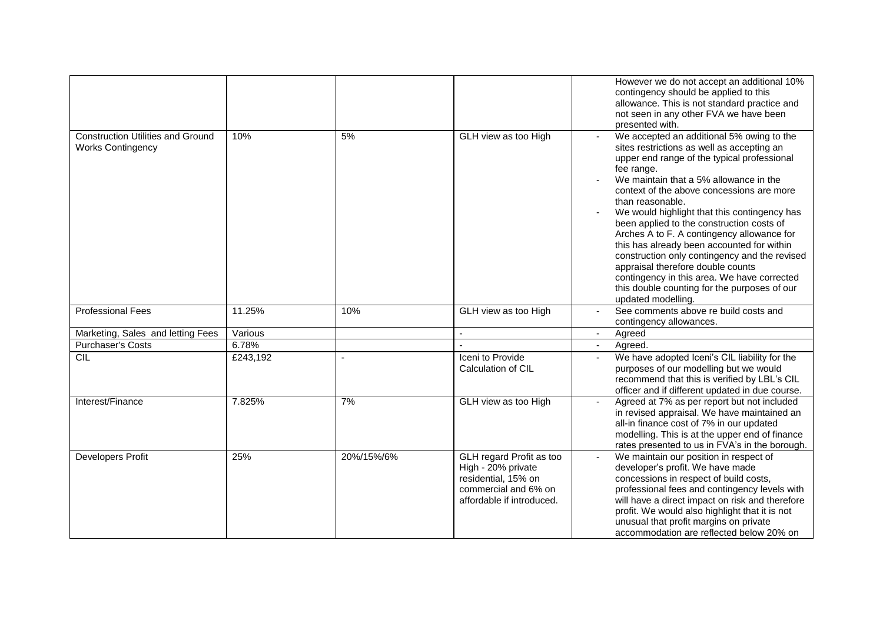|                                                                      |          |            |                                                                                                                            | However we do not accept an additional 10%<br>contingency should be applied to this<br>allowance. This is not standard practice and<br>not seen in any other FVA we have been<br>presented with.                                                                                                                                                                                                                                                                                                                                                                                                                                                                    |
|----------------------------------------------------------------------|----------|------------|----------------------------------------------------------------------------------------------------------------------------|---------------------------------------------------------------------------------------------------------------------------------------------------------------------------------------------------------------------------------------------------------------------------------------------------------------------------------------------------------------------------------------------------------------------------------------------------------------------------------------------------------------------------------------------------------------------------------------------------------------------------------------------------------------------|
| <b>Construction Utilities and Ground</b><br><b>Works Contingency</b> | 10%      | 5%         | GLH view as too High                                                                                                       | We accepted an additional 5% owing to the<br>sites restrictions as well as accepting an<br>upper end range of the typical professional<br>fee range.<br>We maintain that a 5% allowance in the<br>context of the above concessions are more<br>than reasonable.<br>We would highlight that this contingency has<br>been applied to the construction costs of<br>Arches A to F. A contingency allowance for<br>this has already been accounted for within<br>construction only contingency and the revised<br>appraisal therefore double counts<br>contingency in this area. We have corrected<br>this double counting for the purposes of our<br>updated modelling. |
| <b>Professional Fees</b>                                             | 11.25%   | 10%        | GLH view as too High                                                                                                       | See comments above re build costs and<br>contingency allowances.                                                                                                                                                                                                                                                                                                                                                                                                                                                                                                                                                                                                    |
| Marketing, Sales and letting Fees                                    | Various  |            |                                                                                                                            | Agreed                                                                                                                                                                                                                                                                                                                                                                                                                                                                                                                                                                                                                                                              |
| <b>Purchaser's Costs</b>                                             | 6.78%    |            |                                                                                                                            | Agreed.                                                                                                                                                                                                                                                                                                                                                                                                                                                                                                                                                                                                                                                             |
| <b>CIL</b>                                                           | £243,192 |            | Iceni to Provide<br>Calculation of CIL                                                                                     | We have adopted Iceni's CIL liability for the<br>purposes of our modelling but we would<br>recommend that this is verified by LBL's CIL<br>officer and if different updated in due course.                                                                                                                                                                                                                                                                                                                                                                                                                                                                          |
| Interest/Finance                                                     | 7.825%   | 7%         | GLH view as too High                                                                                                       | Agreed at 7% as per report but not included<br>in revised appraisal. We have maintained an<br>all-in finance cost of 7% in our updated<br>modelling. This is at the upper end of finance<br>rates presented to us in FVA's in the borough.                                                                                                                                                                                                                                                                                                                                                                                                                          |
| <b>Developers Profit</b>                                             | 25%      | 20%/15%/6% | GLH regard Profit as too<br>High - 20% private<br>residential, 15% on<br>commercial and 6% on<br>affordable if introduced. | We maintain our position in respect of<br>developer's profit. We have made<br>concessions in respect of build costs,<br>professional fees and contingency levels with<br>will have a direct impact on risk and therefore<br>profit. We would also highlight that it is not<br>unusual that profit margins on private<br>accommodation are reflected below 20% on                                                                                                                                                                                                                                                                                                    |